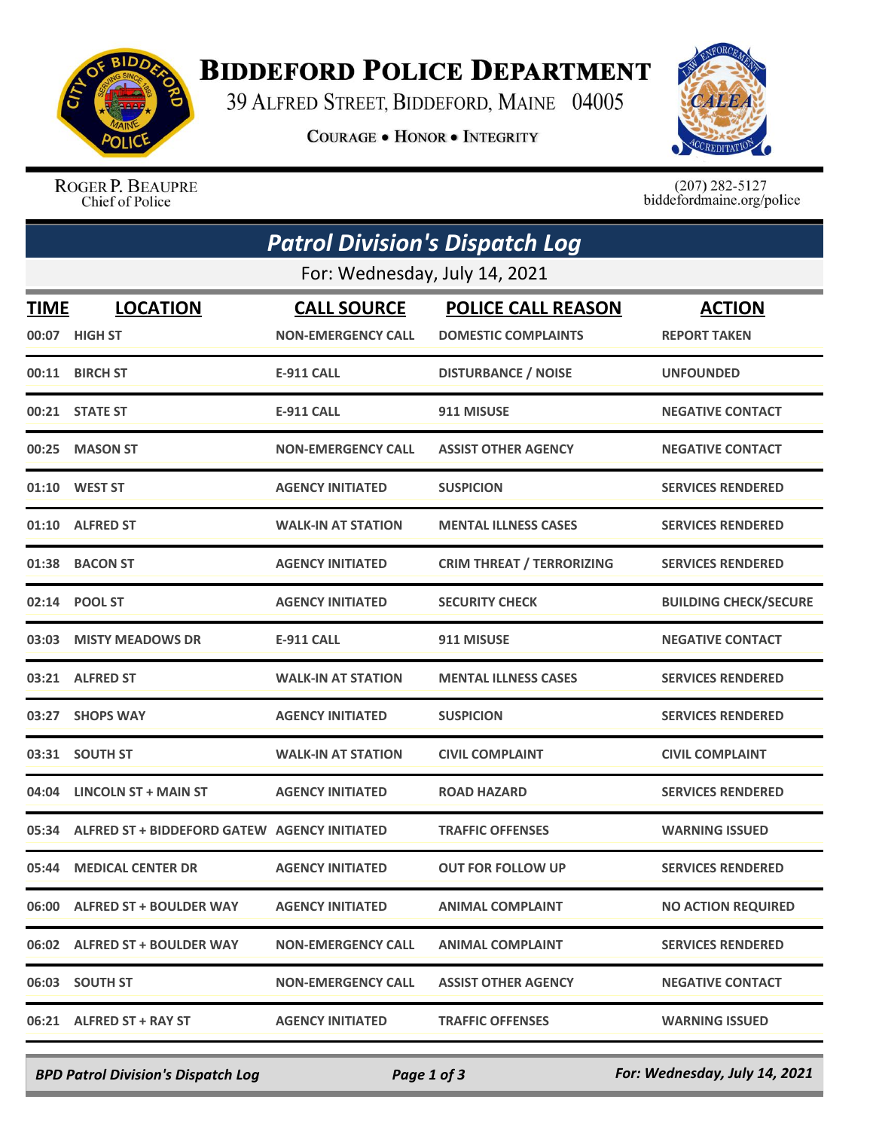

## **BIDDEFORD POLICE DEPARTMENT**

39 ALFRED STREET, BIDDEFORD, MAINE 04005

**COURAGE . HONOR . INTEGRITY** 



ROGER P. BEAUPRE Chief of Police

 $(207)$  282-5127<br>biddefordmaine.org/police

| <b>Patrol Division's Dispatch Log</b> |                                                    |                                                 |                                                         |                                      |  |  |  |
|---------------------------------------|----------------------------------------------------|-------------------------------------------------|---------------------------------------------------------|--------------------------------------|--|--|--|
| For: Wednesday, July 14, 2021         |                                                    |                                                 |                                                         |                                      |  |  |  |
| <b>TIME</b>                           | <b>LOCATION</b><br>00:07 HIGH ST                   | <b>CALL SOURCE</b><br><b>NON-EMERGENCY CALL</b> | <b>POLICE CALL REASON</b><br><b>DOMESTIC COMPLAINTS</b> | <b>ACTION</b><br><b>REPORT TAKEN</b> |  |  |  |
|                                       | 00:11 BIRCH ST                                     | <b>E-911 CALL</b>                               | <b>DISTURBANCE / NOISE</b>                              | <b>UNFOUNDED</b>                     |  |  |  |
|                                       | 00:21 STATE ST                                     | <b>E-911 CALL</b>                               | 911 MISUSE                                              | <b>NEGATIVE CONTACT</b>              |  |  |  |
| 00:25                                 | <b>MASON ST</b>                                    | <b>NON-EMERGENCY CALL</b>                       | <b>ASSIST OTHER AGENCY</b>                              | <b>NEGATIVE CONTACT</b>              |  |  |  |
| 01:10                                 | <b>WEST ST</b>                                     | <b>AGENCY INITIATED</b>                         | <b>SUSPICION</b>                                        | <b>SERVICES RENDERED</b>             |  |  |  |
| 01:10                                 | <b>ALFRED ST</b>                                   | <b>WALK-IN AT STATION</b>                       | <b>MENTAL ILLNESS CASES</b>                             | <b>SERVICES RENDERED</b>             |  |  |  |
| 01:38                                 | <b>BACON ST</b>                                    | <b>AGENCY INITIATED</b>                         | <b>CRIM THREAT / TERRORIZING</b>                        | <b>SERVICES RENDERED</b>             |  |  |  |
| 02:14                                 | <b>POOL ST</b>                                     | <b>AGENCY INITIATED</b>                         | <b>SECURITY CHECK</b>                                   | <b>BUILDING CHECK/SECURE</b>         |  |  |  |
|                                       | 03:03 MISTY MEADOWS DR                             | E-911 CALL                                      | 911 MISUSE                                              | <b>NEGATIVE CONTACT</b>              |  |  |  |
|                                       | 03:21 ALFRED ST                                    | <b>WALK-IN AT STATION</b>                       | <b>MENTAL ILLNESS CASES</b>                             | <b>SERVICES RENDERED</b>             |  |  |  |
| 03:27                                 | <b>SHOPS WAY</b>                                   | <b>AGENCY INITIATED</b>                         | <b>SUSPICION</b>                                        | <b>SERVICES RENDERED</b>             |  |  |  |
|                                       | 03:31 SOUTH ST                                     | <b>WALK-IN AT STATION</b>                       | <b>CIVIL COMPLAINT</b>                                  | <b>CIVIL COMPLAINT</b>               |  |  |  |
|                                       | 04:04 LINCOLN ST + MAIN ST                         | <b>AGENCY INITIATED</b>                         | <b>ROAD HAZARD</b>                                      | <b>SERVICES RENDERED</b>             |  |  |  |
|                                       | 05:34 ALFRED ST + BIDDEFORD GATEW AGENCY INITIATED |                                                 | <b>TRAFFIC OFFENSES</b>                                 | <b>WARNING ISSUED</b>                |  |  |  |
|                                       | 05:44 MEDICAL CENTER DR                            | <b>AGENCY INITIATED</b>                         | <b>OUT FOR FOLLOW UP</b>                                | <b>SERVICES RENDERED</b>             |  |  |  |
|                                       | 06:00 ALFRED ST + BOULDER WAY                      | <b>AGENCY INITIATED</b>                         | <b>ANIMAL COMPLAINT</b>                                 | <b>NO ACTION REQUIRED</b>            |  |  |  |
|                                       | 06:02 ALFRED ST + BOULDER WAY                      | <b>NON-EMERGENCY CALL</b>                       | <b>ANIMAL COMPLAINT</b>                                 | <b>SERVICES RENDERED</b>             |  |  |  |
|                                       | 06:03 SOUTH ST                                     | <b>NON-EMERGENCY CALL</b>                       | <b>ASSIST OTHER AGENCY</b>                              | <b>NEGATIVE CONTACT</b>              |  |  |  |
|                                       | 06:21 ALFRED ST + RAY ST                           | <b>AGENCY INITIATED</b>                         | <b>TRAFFIC OFFENSES</b>                                 | <b>WARNING ISSUED</b>                |  |  |  |

*BPD Patrol Division's Dispatch Log Page 1 of 3 For: Wednesday, July 14, 2021*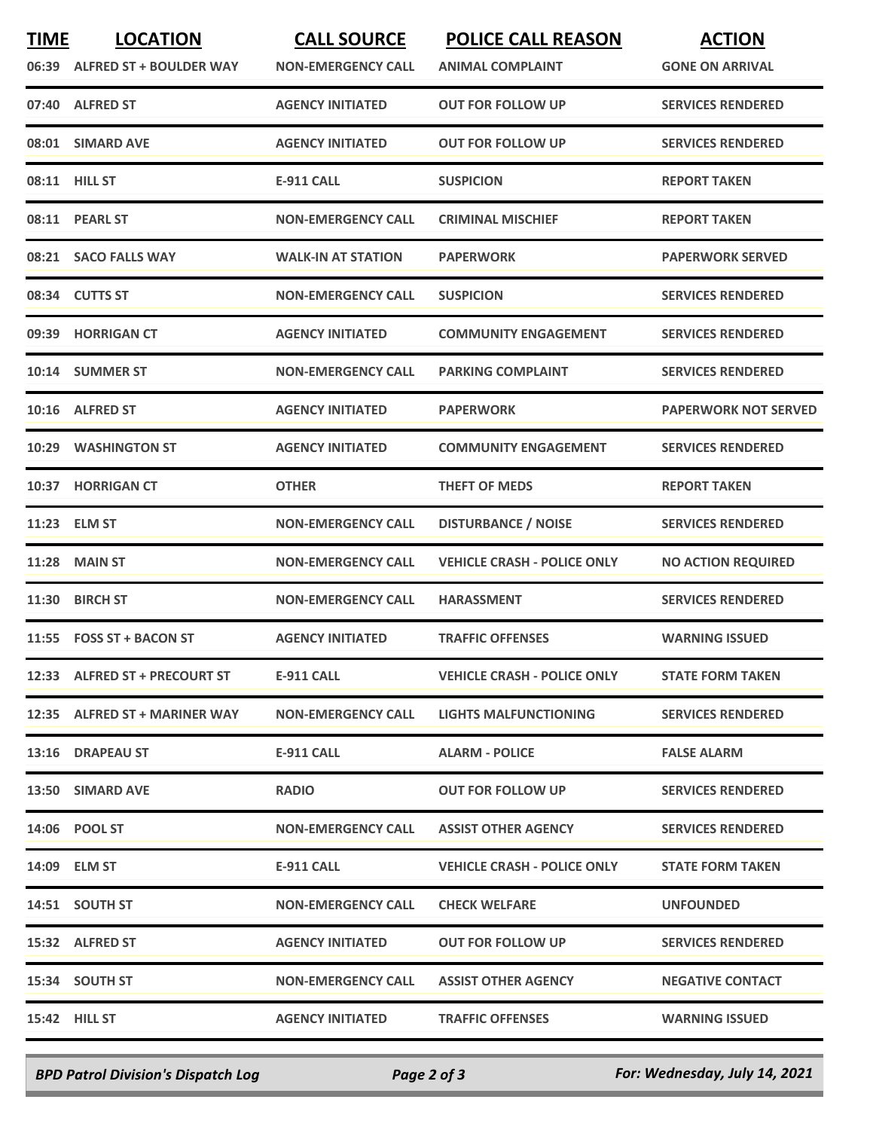| <b>TIME</b> | <b>LOCATION</b><br>06:39 ALFRED ST + BOULDER WAY | <b>CALL SOURCE</b><br><b>NON-EMERGENCY CALL</b> | <b>POLICE CALL REASON</b><br><b>ANIMAL COMPLAINT</b> | <b>ACTION</b><br><b>GONE ON ARRIVAL</b> |
|-------------|--------------------------------------------------|-------------------------------------------------|------------------------------------------------------|-----------------------------------------|
| 07:40       | <b>ALFRED ST</b>                                 | <b>AGENCY INITIATED</b>                         | OUT FOR FOLLOW UP                                    | <b>SERVICES RENDERED</b>                |
|             | 08:01 SIMARD AVE                                 | <b>AGENCY INITIATED</b>                         | OUT FOR FOLLOW UP                                    | <b>SERVICES RENDERED</b>                |
|             | 08:11 HILL ST                                    | <b>E-911 CALL</b>                               | <b>SUSPICION</b>                                     | <b>REPORT TAKEN</b>                     |
|             | 08:11 PEARL ST                                   | <b>NON-EMERGENCY CALL</b>                       | <b>CRIMINAL MISCHIEF</b>                             | <b>REPORT TAKEN</b>                     |
|             | 08:21 SACO FALLS WAY                             | <b>WALK-IN AT STATION</b>                       | <b>PAPERWORK</b>                                     | <b>PAPERWORK SERVED</b>                 |
|             | 08:34 CUTTS ST                                   | <b>NON-EMERGENCY CALL</b>                       | <b>SUSPICION</b>                                     | <b>SERVICES RENDERED</b>                |
| 09:39       | <b>HORRIGAN CT</b>                               | <b>AGENCY INITIATED</b>                         | <b>COMMUNITY ENGAGEMENT</b>                          | <b>SERVICES RENDERED</b>                |
|             | 10:14 SUMMER ST                                  | <b>NON-EMERGENCY CALL</b>                       | <b>PARKING COMPLAINT</b>                             | <b>SERVICES RENDERED</b>                |
| 10:16       | <b>ALFRED ST</b>                                 | <b>AGENCY INITIATED</b>                         | <b>PAPERWORK</b>                                     | <b>PAPERWORK NOT SERVED</b>             |
| 10:29       | <b>WASHINGTON ST</b>                             | <b>AGENCY INITIATED</b>                         | <b>COMMUNITY ENGAGEMENT</b>                          | <b>SERVICES RENDERED</b>                |
| 10:37       | <b>HORRIGAN CT</b>                               | <b>OTHER</b>                                    | <b>THEFT OF MEDS</b>                                 | <b>REPORT TAKEN</b>                     |
|             | 11:23 ELM ST                                     | <b>NON-EMERGENCY CALL</b>                       | <b>DISTURBANCE / NOISE</b>                           | <b>SERVICES RENDERED</b>                |
| 11:28       | <b>MAIN ST</b>                                   | <b>NON-EMERGENCY CALL</b>                       | <b>VEHICLE CRASH - POLICE ONLY</b>                   | <b>NO ACTION REQUIRED</b>               |
| 11:30       | <b>BIRCH ST</b>                                  | <b>NON-EMERGENCY CALL</b>                       | <b>HARASSMENT</b>                                    | <b>SERVICES RENDERED</b>                |
|             | 11:55 FOSS ST + BACON ST                         | <b>AGENCY INITIATED</b>                         | <b>TRAFFIC OFFENSES</b>                              | <b>WARNING ISSUED</b>                   |
|             | 12:33 ALFRED ST + PRECOURT ST                    | E-911 CALL                                      | <b>VEHICLE CRASH - POLICE ONLY</b>                   | <b>STATE FORM TAKEN</b>                 |
|             | 12:35 ALFRED ST + MARINER WAY                    | <b>NON-EMERGENCY CALL</b>                       | LIGHTS MALFUNCTIONING                                | <b>SERVICES RENDERED</b>                |
|             | 13:16 DRAPEAU ST                                 | E-911 CALL                                      | <b>ALARM - POLICE</b>                                | <b>FALSE ALARM</b>                      |
|             | 13:50 SIMARD AVE                                 | <b>RADIO</b>                                    | <b>OUT FOR FOLLOW UP</b>                             | <b>SERVICES RENDERED</b>                |
|             | 14:06 POOL ST                                    | <b>NON-EMERGENCY CALL</b>                       | <b>ASSIST OTHER AGENCY</b>                           | <b>SERVICES RENDERED</b>                |
|             | 14:09 ELM ST                                     | E-911 CALL                                      | <b>VEHICLE CRASH - POLICE ONLY</b>                   | <b>STATE FORM TAKEN</b>                 |
|             | 14:51 SOUTH ST                                   | <b>NON-EMERGENCY CALL</b>                       | <b>CHECK WELFARE</b>                                 | <b>UNFOUNDED</b>                        |
|             | 15:32 ALFRED ST                                  | <b>AGENCY INITIATED</b>                         | OUT FOR FOLLOW UP                                    | <b>SERVICES RENDERED</b>                |
|             | 15:34 SOUTH ST                                   | <b>NON-EMERGENCY CALL</b>                       | <b>ASSIST OTHER AGENCY</b>                           | <b>NEGATIVE CONTACT</b>                 |
|             | <b>15:42 HILL ST</b>                             | <b>AGENCY INITIATED</b>                         | <b>TRAFFIC OFFENSES</b>                              | <b>WARNING ISSUED</b>                   |
|             |                                                  |                                                 |                                                      |                                         |

*BPD Patrol Division's Dispatch Log Page 2 of 3 For: Wednesday, July 14, 2021*